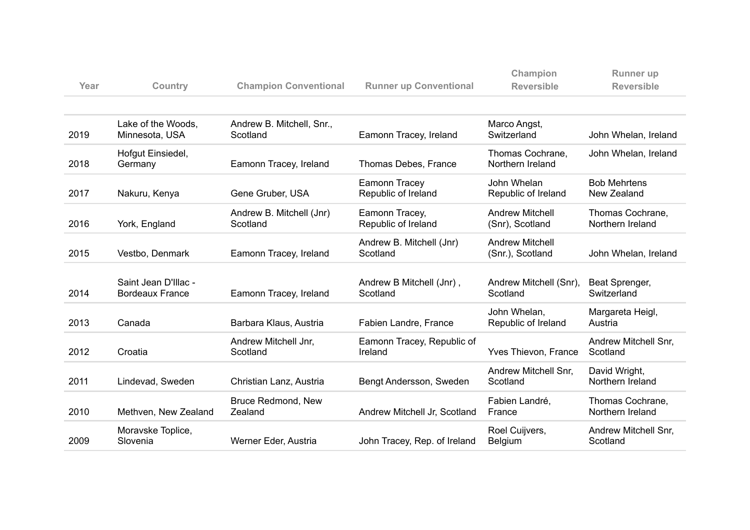| Year | Country                                        | <b>Champion Conventional</b>          | <b>Runner up Conventional</b>         | Champion<br><b>Reversible</b>              | <b>Runner</b> up<br><b>Reversible</b> |
|------|------------------------------------------------|---------------------------------------|---------------------------------------|--------------------------------------------|---------------------------------------|
|      |                                                |                                       |                                       |                                            |                                       |
| 2019 | Lake of the Woods,<br>Minnesota, USA           | Andrew B. Mitchell, Snr.,<br>Scotland | Eamonn Tracey, Ireland                | Marco Angst,<br>Switzerland                | John Whelan, Ireland                  |
| 2018 | Hofgut Einsiedel,<br>Germany                   | Eamonn Tracey, Ireland                | Thomas Debes, France                  | Thomas Cochrane,<br>Northern Ireland       | John Whelan, Ireland                  |
| 2017 | Nakuru, Kenya                                  | Gene Gruber, USA                      | Eamonn Tracey<br>Republic of Ireland  | John Whelan<br>Republic of Ireland         | <b>Bob Mehrtens</b><br>New Zealand    |
| 2016 | York, England                                  | Andrew B. Mitchell (Jnr)<br>Scotland  | Eamonn Tracey,<br>Republic of Ireland | <b>Andrew Mitchell</b><br>(Snr), Scotland  | Thomas Cochrane,<br>Northern Ireland  |
| 2015 | Vestbo, Denmark                                | Eamonn Tracey, Ireland                | Andrew B. Mitchell (Jnr)<br>Scotland  | <b>Andrew Mitchell</b><br>(Snr.), Scotland | John Whelan, Ireland                  |
| 2014 | Saint Jean D'Illac -<br><b>Bordeaux France</b> | Eamonn Tracey, Ireland                | Andrew B Mitchell (Jnr),<br>Scotland  | Andrew Mitchell (Snr),<br>Scotland         | Beat Sprenger,<br>Switzerland         |
| 2013 | Canada                                         | Barbara Klaus, Austria                | Fabien Landre, France                 | John Whelan,<br>Republic of Ireland        | Margareta Heigl,<br>Austria           |
| 2012 | Croatia                                        | Andrew Mitchell Jnr,<br>Scotland      | Eamonn Tracey, Republic of<br>Ireland | Yves Thievon, France                       | Andrew Mitchell Snr,<br>Scotland      |
| 2011 | Lindevad, Sweden                               | Christian Lanz, Austria               | Bengt Andersson, Sweden               | Andrew Mitchell Snr,<br>Scotland           | David Wright,<br>Northern Ireland     |
| 2010 | Methven, New Zealand                           | Bruce Redmond, New<br>Zealand         | Andrew Mitchell Jr, Scotland          | Fabien Landré,<br>France                   | Thomas Cochrane,<br>Northern Ireland  |
| 2009 | Moravske Toplice,<br>Slovenia                  | Werner Eder, Austria                  | John Tracey, Rep. of Ireland          | Roel Cuijvers,<br><b>Belgium</b>           | Andrew Mitchell Snr,<br>Scotland      |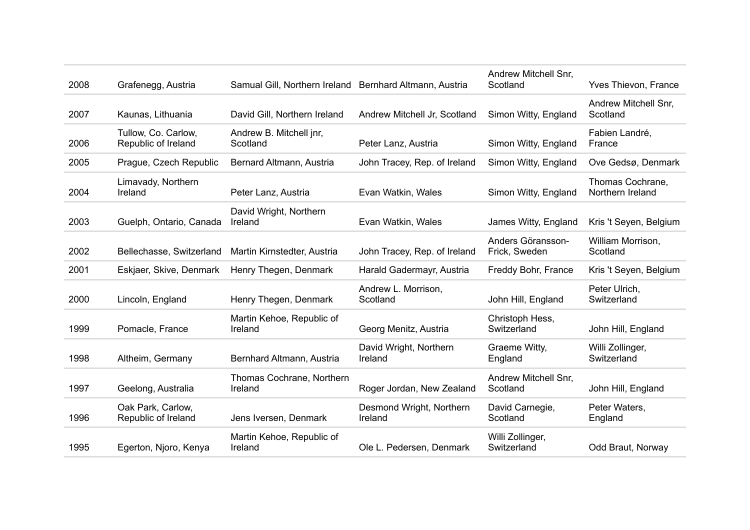| 2008 | Grafenegg, Austria                         | Samual Gill, Northern Ireland Bernhard Altmann, Austria |                                     | Andrew Mitchell Snr,<br>Scotland   | Yves Thievon, France                 |
|------|--------------------------------------------|---------------------------------------------------------|-------------------------------------|------------------------------------|--------------------------------------|
| 2007 | Kaunas, Lithuania                          | David Gill, Northern Ireland                            | Andrew Mitchell Jr, Scotland        | Simon Witty, England               | Andrew Mitchell Snr,<br>Scotland     |
| 2006 | Tullow, Co. Carlow,<br>Republic of Ireland | Andrew B. Mitchell jnr,<br>Scotland                     | Peter Lanz, Austria                 | Simon Witty, England               | Fabien Landré,<br>France             |
| 2005 | Prague, Czech Republic                     | Bernard Altmann, Austria                                | John Tracey, Rep. of Ireland        | Simon Witty, England               | Ove Gedsø, Denmark                   |
| 2004 | Limavady, Northern<br>Ireland              | Peter Lanz, Austria                                     | Evan Watkin, Wales                  | Simon Witty, England               | Thomas Cochrane,<br>Northern Ireland |
| 2003 | Guelph, Ontario, Canada                    | David Wright, Northern<br>Ireland                       | Evan Watkin, Wales                  | James Witty, England               | Kris 't Seyen, Belgium               |
| 2002 | Bellechasse, Switzerland                   | Martin Kirnstedter, Austria                             | John Tracey, Rep. of Ireland        | Anders Göransson-<br>Frick, Sweden | William Morrison,<br>Scotland        |
| 2001 | Eskjaer, Skive, Denmark                    | Henry Thegen, Denmark                                   | Harald Gadermayr, Austria           | Freddy Bohr, France                | Kris 't Seyen, Belgium               |
| 2000 | Lincoln, England                           | Henry Thegen, Denmark                                   | Andrew L. Morrison,<br>Scotland     | John Hill, England                 | Peter Ulrich,<br>Switzerland         |
| 1999 | Pomacle, France                            | Martin Kehoe, Republic of<br>Ireland                    | Georg Menitz, Austria               | Christoph Hess,<br>Switzerland     | John Hill, England                   |
| 1998 | Altheim, Germany                           | Bernhard Altmann, Austria                               | David Wright, Northern<br>Ireland   | Graeme Witty,<br>England           | Willi Zollinger,<br>Switzerland      |
| 1997 | Geelong, Australia                         | Thomas Cochrane, Northern<br>Ireland                    | Roger Jordan, New Zealand           | Andrew Mitchell Snr,<br>Scotland   | John Hill, England                   |
| 1996 | Oak Park, Carlow,<br>Republic of Ireland   | Jens Iversen, Denmark                                   | Desmond Wright, Northern<br>Ireland | David Carnegie,<br>Scotland        | Peter Waters,<br>England             |
| 1995 | Egerton, Njoro, Kenya                      | Martin Kehoe, Republic of<br>Ireland                    | Ole L. Pedersen, Denmark            | Willi Zollinger,<br>Switzerland    | Odd Braut, Norway                    |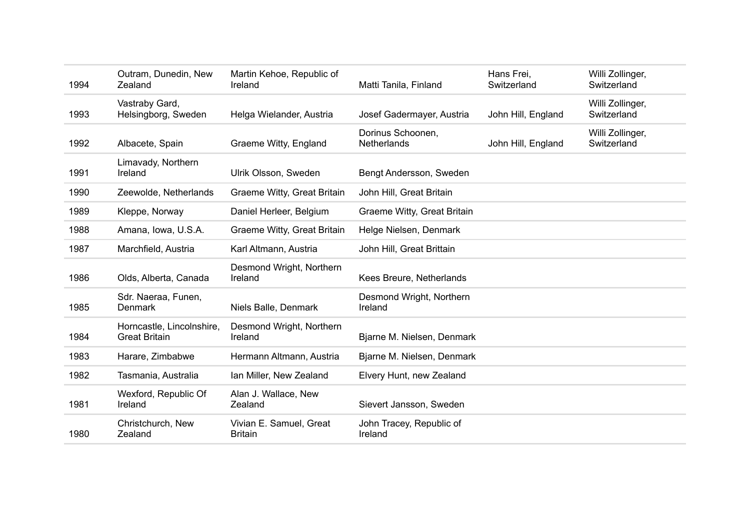| 1994 | Outram, Dunedin, New<br>Zealand                   | Martin Kehoe, Republic of<br>Ireland      | Matti Tanila, Finland               | Hans Frei,<br>Switzerland | Willi Zollinger,<br>Switzerland |
|------|---------------------------------------------------|-------------------------------------------|-------------------------------------|---------------------------|---------------------------------|
| 1993 | Vastraby Gard,<br>Helsingborg, Sweden             | Helga Wielander, Austria                  | Josef Gadermayer, Austria           | John Hill, England        | Willi Zollinger,<br>Switzerland |
| 1992 | Albacete, Spain                                   | Graeme Witty, England                     | Dorinus Schoonen,<br>Netherlands    | John Hill, England        | Willi Zollinger,<br>Switzerland |
| 1991 | Limavady, Northern<br>Ireland                     | Ulrik Olsson, Sweden                      | Bengt Andersson, Sweden             |                           |                                 |
| 1990 | Zeewolde, Netherlands                             | Graeme Witty, Great Britain               | John Hill, Great Britain            |                           |                                 |
| 1989 | Kleppe, Norway                                    | Daniel Herleer, Belgium                   | Graeme Witty, Great Britain         |                           |                                 |
| 1988 | Amana, Iowa, U.S.A.                               | Graeme Witty, Great Britain               | Helge Nielsen, Denmark              |                           |                                 |
| 1987 | Marchfield, Austria                               | Karl Altmann, Austria                     | John Hill, Great Brittain           |                           |                                 |
| 1986 | Olds, Alberta, Canada                             | Desmond Wright, Northern<br>Ireland       | Kees Breure, Netherlands            |                           |                                 |
| 1985 | Sdr. Naeraa, Funen,<br><b>Denmark</b>             | Niels Balle, Denmark                      | Desmond Wright, Northern<br>Ireland |                           |                                 |
| 1984 | Horncastle, Lincolnshire,<br><b>Great Britain</b> | Desmond Wright, Northern<br>Ireland       | Bjarne M. Nielsen, Denmark          |                           |                                 |
| 1983 | Harare, Zimbabwe                                  | Hermann Altmann, Austria                  | Bjarne M. Nielsen, Denmark          |                           |                                 |
| 1982 | Tasmania, Australia                               | Ian Miller, New Zealand                   | Elvery Hunt, new Zealand            |                           |                                 |
| 1981 | Wexford, Republic Of<br>Ireland                   | Alan J. Wallace, New<br>Zealand           | Sievert Jansson, Sweden             |                           |                                 |
| 1980 | Christchurch, New<br>Zealand                      | Vivian E. Samuel, Great<br><b>Britain</b> | John Tracey, Republic of<br>Ireland |                           |                                 |
|      |                                                   |                                           |                                     |                           |                                 |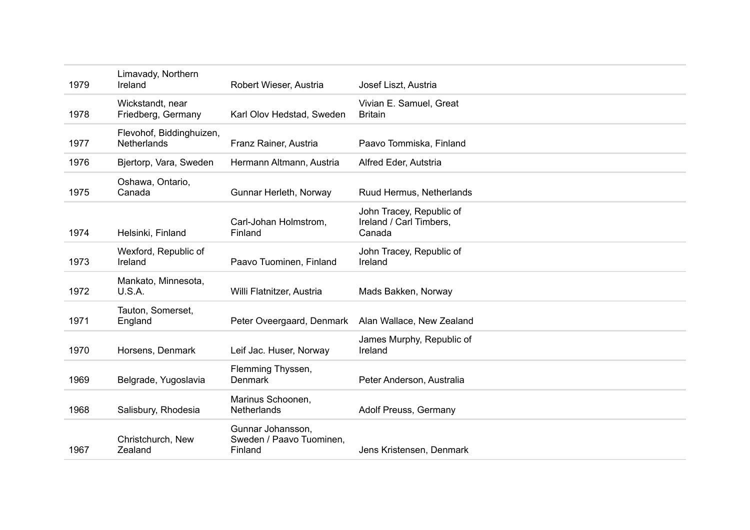| 1979 | Limavady, Northern<br>Ireland           | Robert Wieser, Austria                                   | Josef Liszt, Austria                                          |
|------|-----------------------------------------|----------------------------------------------------------|---------------------------------------------------------------|
| 1978 | Wickstandt, near<br>Friedberg, Germany  | Karl Olov Hedstad, Sweden                                | Vivian E. Samuel, Great<br><b>Britain</b>                     |
| 1977 | Flevohof, Biddinghuizen,<br>Netherlands | Franz Rainer, Austria                                    | Paavo Tommiska, Finland                                       |
| 1976 | Bjertorp, Vara, Sweden                  | Hermann Altmann, Austria                                 | Alfred Eder, Autstria                                         |
| 1975 | Oshawa, Ontario,<br>Canada              | Gunnar Herleth, Norway                                   | Ruud Hermus, Netherlands                                      |
| 1974 | Helsinki, Finland                       | Carl-Johan Holmstrom,<br>Finland                         | John Tracey, Republic of<br>Ireland / Carl Timbers,<br>Canada |
| 1973 | Wexford, Republic of<br>Ireland         | Paavo Tuominen, Finland                                  | John Tracey, Republic of<br>Ireland                           |
| 1972 | Mankato, Minnesota,<br><b>U.S.A.</b>    | Willi Flatnitzer, Austria                                | Mads Bakken, Norway                                           |
| 1971 | Tauton, Somerset,<br>England            | Peter Oveergaard, Denmark                                | Alan Wallace, New Zealand                                     |
| 1970 | Horsens, Denmark                        | Leif Jac. Huser, Norway                                  | James Murphy, Republic of<br>Ireland                          |
| 1969 | Belgrade, Yugoslavia                    | Flemming Thyssen,<br><b>Denmark</b>                      | Peter Anderson, Australia                                     |
| 1968 | Salisbury, Rhodesia                     | Marinus Schoonen,<br>Netherlands                         | Adolf Preuss, Germany                                         |
| 1967 | Christchurch, New<br>Zealand            | Gunnar Johansson,<br>Sweden / Paavo Tuominen,<br>Finland | Jens Kristensen, Denmark                                      |